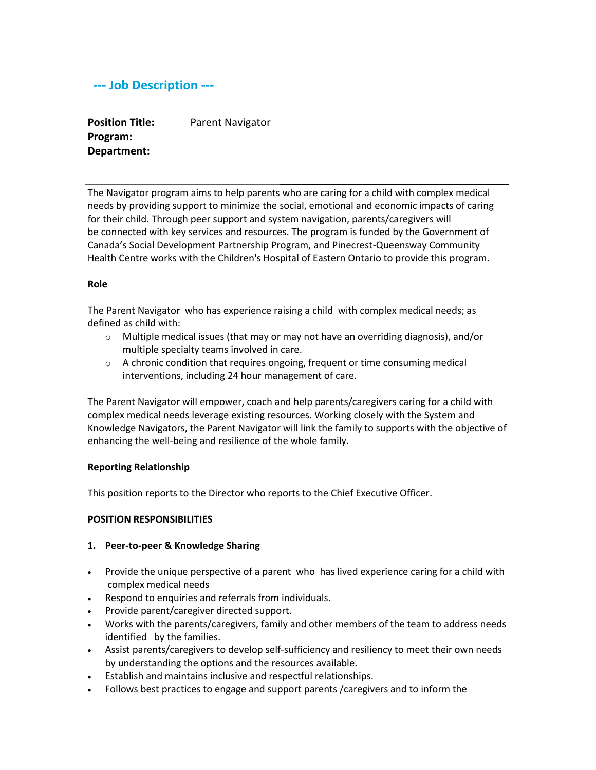# --- Job Description ---

**Position Title: Program: Department:** Parent Navigator

The Navigator program aims to help parents who are caring for a child with complex medical needs by providing support to minimize the social, emotional and economic impacts of caring for their child. Through peer support and system navigation, parents/caregivers will be connected with key services and resources. The program is funded by the Government of Canada's Social Development Partnership Program, and Pinecrest-Queensway Community Health Centre works with the Children's Hospital of Eastern Ontario to provide this program.

#### **Role**

The Parent Navigator who has experience raising a child with complex medical needs; as defined as child with:

- $\circ$  Multiple medical issues (that may or may not have an overriding diagnosis), and/or multiple specialty teams involved in care.
- o A chronic condition that requires ongoing, frequent or time consuming medical interventions, including 24 hour management of care.

The Parent Navigator will empower, coach and help parents/caregivers caring for a child with complex medical needs leverage existing resources. Working closely with the System and Knowledge Navigators, the Parent Navigator will link the family to supports with the objective of enhancing the well-being and resilience of the whole family.

#### **Reporting Relationship**

This position reports to the Director who reports to the Chief Executive Officer.

#### **POSITION RESPONSIBILITIES**

#### **1. Peer-to-peer & Knowledge Sharing**

- Provide the unique perspective of a parent who has lived experience caring for a child with complex medical needs
- Respond to enquiries and referrals from individuals.
- Provide parent/caregiver directed support.
- Works with the parents/caregivers, family and other members of the team to address needs identified by the families.
- Assist parents/caregivers to develop self-sufficiency and resiliency to meet their own needs by understanding the options and the resources available.
- Establish and maintains inclusive and respectful relationships.
- Follows best practices to engage and support parents /caregivers and to inform the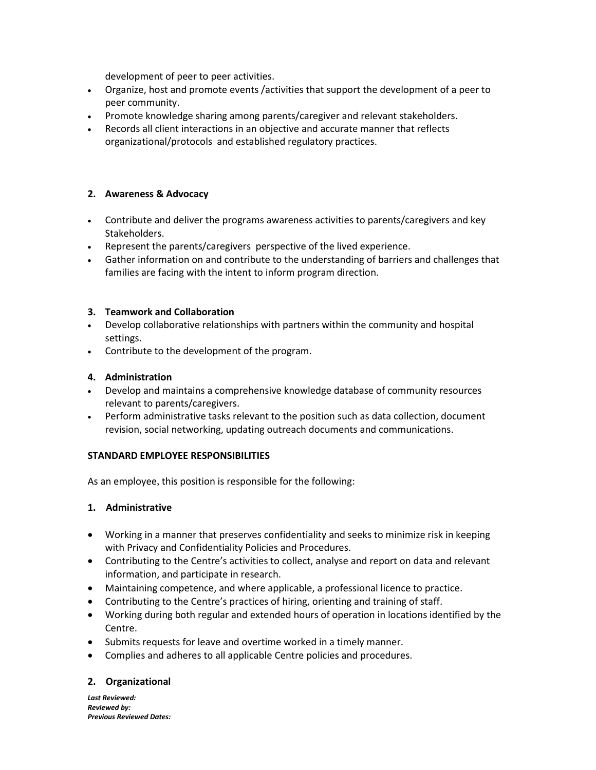development of peer to peer activities.

- Organize, host and promote events /activities that support the development of a peer to peer community.
- Promote knowledge sharing among parents/caregiver and relevant stakeholders.
- Records all client interactions in an objective and accurate manner that reflects organizational/protocols and established regulatory practices.

### **2. Awareness & Advocacy**

- Contribute and deliver the programs awareness activities to parents/caregivers and key Stakeholders.
- Represent the parents/caregivers perspective of the lived experience.
- Gather information on and contribute to the understanding of barriers and challenges that families are facing with the intent to inform program direction.

#### **3. Teamwork and Collaboration**

- Develop collaborative relationships with partners within the community and hospital settings.
- Contribute to the development of the program.

### **4. Administration**

- Develop and maintains a comprehensive knowledge database of community resources relevant to parents/caregivers.
- Perform administrative tasks relevant to the position such as data collection, document revision, social networking, updating outreach documents and communications.

#### **STANDARD EMPLOYEE RESPONSIBILITIES**

As an employee, this position is responsible for the following:

#### **1. Administrative**

- Working in a manner that preserves confidentiality and seeks to minimize risk in keeping with Privacy and Confidentiality Policies and Procedures.
- Contributing to the Centre's activities to collect, analyse and report on data and relevant information, and participate in research.
- Maintaining competence, and where applicable, a professional licence to practice.
- Contributing to the Centre's practices of hiring, orienting and training of staff.
- Working during both regular and extended hours of operation in locations identified by the Centre.
- Submits requests for leave and overtime worked in a timely manner.
- Complies and adheres to all applicable Centre policies and procedures.

## **2. Organizational**

*Last Reviewed: Reviewed by: Previous Reviewed Dates:*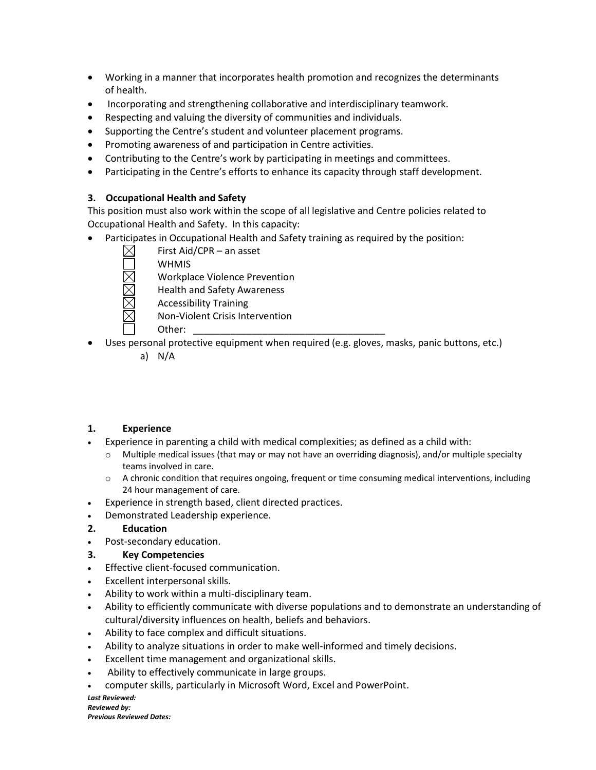- Working in a manner that incorporates health promotion and recognizes the determinants of health.
- Incorporating and strengthening collaborative and interdisciplinary teamwork.
- Respecting and valuing the diversity of communities and individuals.
- Supporting the Centre's student and volunteer placement programs.
- Promoting awareness of and participation in Centre activities.
- Contributing to the Centre's work by participating in meetings and committees.
- Participating in the Centre's efforts to enhance its capacity through staff development.

## **3. Occupational Health and Safety**

This position must also work within the scope of all legislative and Centre policies related to Occupational Health and Safety. In this capacity:

- Participates in Occupational Health and Safety training as required by the position:
	- First Aid/CPR an asset
		- **WHMIS**
		- Workplace Violence Prevention
		- Health and Safety Awareness
		- Accessibility Training
		- Non-Violent Crisis Intervention
		- Other:
- Uses personal protective equipment when required (e.g. gloves, masks, panic buttons, etc.)
	- a) N/A

## **1. Experience**

- Experience in parenting a child with medical complexities; as defined as a child with:
	- $\circ$  Multiple medical issues (that may or may not have an overriding diagnosis), and/or multiple specialty teams involved in care.
	- o A chronic condition that requires ongoing, frequent or time consuming medical interventions, including 24 hour management of care.
- Experience in strength based, client directed practices.
- Demonstrated Leadership experience.

## **2. Education**

Post-secondary education.

## **3. Key Competencies**

- **Effective client-focused communication.**
- Excellent interpersonal skills.
- Ability to work within a multi-disciplinary team.
- Ability to efficiently communicate with diverse populations and to demonstrate an understanding of cultural/diversity influences on health, beliefs and behaviors.
- Ability to face complex and difficult situations.
- Ability to analyze situations in order to make well-informed and timely decisions.
- Excellent time management and organizational skills.
- Ability to effectively communicate in large groups.
- computer skills, particularly in Microsoft Word, Excel and PowerPoint.

*Last Reviewed: Reviewed by: Previous Reviewed Dates:*